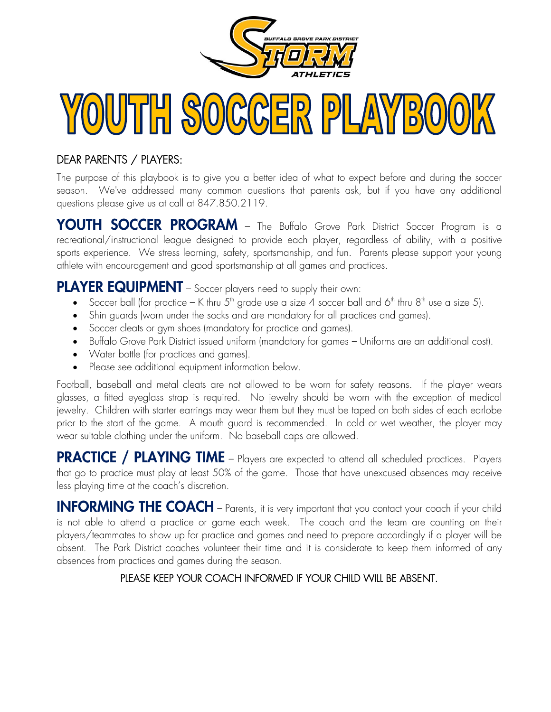

## $(0)$ UJTHH  $S$  $(0)$ C $(C)$  $\mathbb{P}[\mathcal{L}(\mathbf{N}^{\prime\prime}|_{\mathcal{B}}](0)(0)]$

#### DEAR PARENTS / PLAYERS:

The purpose of this playbook is to give you a better idea of what to expect before and during the soccer season. We've addressed many common questions that parents ask, but if you have any additional questions please give us at call at 847.850.2119.

YOUTH SOCCER PROGRAM – The Buffalo Grove Park District Soccer Program is a recreational/instructional league designed to provide each player, regardless of ability, with a positive sports experience. We stress learning, safety, sportsmanship, and fun. Parents please support your young athlete with encouragement and good sportsmanship at all games and practices.

#### PLAYER EQUIPMENT - Soccer players need to supply their own:

- Soccer ball (for practice K thru  $5<sup>th</sup>$  grade use a size 4 soccer ball and  $6<sup>th</sup>$  thru  $8<sup>th</sup>$  use a size 5).
- Shin guards (worn under the socks and are mandatory for all practices and games).
- Soccer cleats or gym shoes (mandatory for practice and games).
- Buffalo Grove Park District issued uniform (mandatory for games Uniforms are an additional cost).
- Water bottle (for practices and games).
- Please see additional equipment information below.

Football, baseball and metal cleats are not allowed to be worn for safety reasons. If the player wears glasses, a fitted eyeglass strap is required. No jewelry should be worn with the exception of medical jewelry. Children with starter earrings may wear them but they must be taped on both sides of each earlobe prior to the start of the game. A mouth guard is recommended. In cold or wet weather, the player may wear suitable clothing under the uniform. No baseball caps are allowed.

PRACTICE / PLAYING TIME – Players are expected to attend all scheduled practices. Players that go to practice must play at least 50% of the game. Those that have unexcused absences may receive less playing time at the coach's discretion.

INFORMING THE COACH – Parents, it is very important that you contact your coach if your child is not able to attend a practice or game each week. The coach and the team are counting on their players/teammates to show up for practice and games and need to prepare accordingly if a player will be absent. The Park District coaches volunteer their time and it is considerate to keep them informed of any absences from practices and games during the season.

#### PLEASE KEEP YOUR COACH INFORMED IF YOUR CHILD WILL BE ABSENT.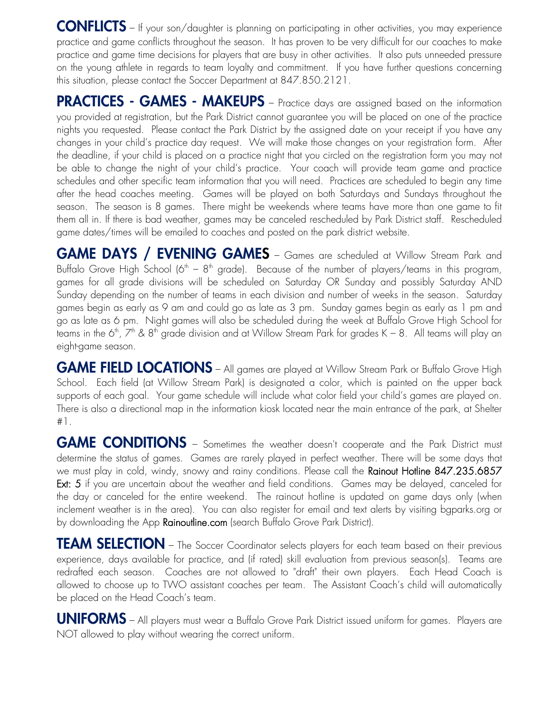CONFLICTS – If your son/daughter is planning on participating in other activities, you may experience practice and game conflicts throughout the season. It has proven to be very difficult for our coaches to make practice and game time decisions for players that are busy in other activities. It also puts unneeded pressure on the young athlete in regards to team loyalty and commitment. If you have further questions concerning this situation, please contact the Soccer Department at 847.850.2121.

PRACTICES - GAMES - MAKEUPS - Practice days are assigned based on the information you provided at registration, but the Park District cannot guarantee you will be placed on one of the practice nights you requested. Please contact the Park District by the assigned date on your receipt if you have any changes in your child's practice day request. We will make those changes on your registration form. After the deadline, if your child is placed on a practice night that you circled on the registration form you may not be able to change the night of your child's practice. Your coach will provide team game and practice schedules and other specific team information that you will need. Practices are scheduled to begin any time after the head coaches meeting. Games will be played on both Saturdays and Sundays throughout the season. The season is 8 games. There might be weekends where teams have more than one game to fit them all in. If there is bad weather, games may be canceled rescheduled by Park District staff. Rescheduled game dates/times will be emailed to coaches and posted on the park district website.

GAME DAYS / EVENING GAMES – Games are scheduled at Willow Stream Park and Buffalo Grove High School (6<sup>th</sup> – 8<sup>th</sup> grade). Because of the number of players/teams in this program, games for all grade divisions will be scheduled on Saturday OR Sunday and possibly Saturday AND Sunday depending on the number of teams in each division and number of weeks in the season. Saturday games begin as early as 9 am and could go as late as 3 pm. Sunday games begin as early as 1 pm and go as late as 6 pm. Night games will also be scheduled during the week at Buffalo Grove High School for teams in the 6<sup>th</sup>,  $7^{\text{th}}$  & 8<sup>th</sup> grade division and at Willow Stream Park for grades K – 8. All teams will play an eight-game season.

GAME FIELD LOCATIONS – All games are played at Willow Stream Park or Buffalo Grove High School. Each field (at Willow Stream Park) is designated a color, which is painted on the upper back supports of each goal. Your game schedule will include what color field your child's games are played on. There is also a directional map in the information kiosk located near the main entrance of the park, at Shelter #1.

GAME CONDITIONS – Sometimes the weather doesn't cooperate and the Park District must determine the status of games. Games are rarely played in perfect weather. There will be some days that we must play in cold, windy, snowy and rainy conditions. Please call the Rainout Hotline 847.235.6857 Ext: 5 if you are uncertain about the weather and field conditions. Games may be delayed, canceled for the day or canceled for the entire weekend. The rainout hotline is updated on game days only (when inclement weather is in the area). You can also register for email and text alerts by visiting bgparks.org or by downloading the App Rainoutline.com (search Buffalo Grove Park District).

TEAM SELECTION – The Soccer Coordinator selects players for each team based on their previous experience, days available for practice, and (if rated) skill evaluation from previous season(s). Teams are redrafted each season. Coaches are not allowed to "draft" their own players. Each Head Coach is allowed to choose up to TWO assistant coaches per team. The Assistant Coach's child will automatically be placed on the Head Coach's team.

UNIFORMS – All players must wear a Buffalo Grove Park District issued uniform for games. Players are NOT allowed to play without wearing the correct uniform.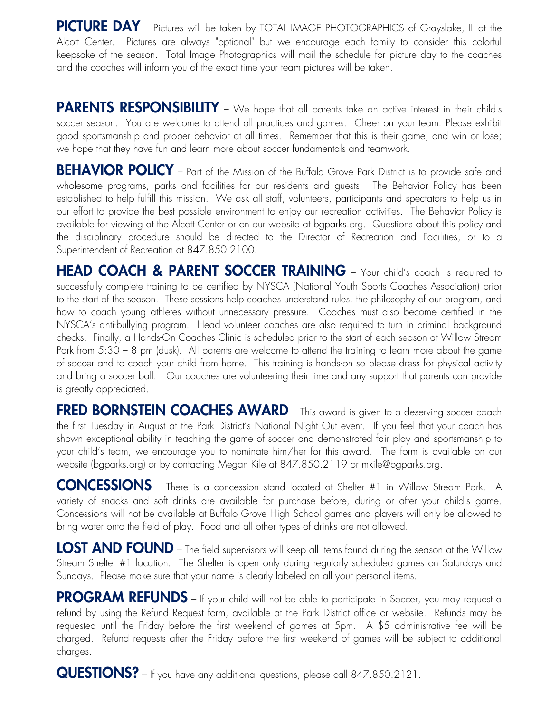PICTURE DAY - Pictures will be taken by TOTAL IMAGE PHOTOGRAPHICS of Grayslake, IL at the Alcott Center. Pictures are always "optional" but we encourage each family to consider this colorful keepsake of the season. Total Image Photographics will mail the schedule for picture day to the coaches and the coaches will inform you of the exact time your team pictures will be taken.

PARENTS RESPONSIBILITY - We hope that all parents take an active interest in their child's soccer season. You are welcome to attend all practices and games. Cheer on your team. Please exhibit good sportsmanship and proper behavior at all times. Remember that this is their game, and win or lose; we hope that they have fun and learn more about soccer fundamentals and teamwork.

BEHAVIOR POLICY – Part of the Mission of the Buffalo Grove Park District is to provide safe and wholesome programs, parks and facilities for our residents and guests. The Behavior Policy has been established to help fulfill this mission. We ask all staff, volunteers, participants and spectators to help us in our effort to provide the best possible environment to enjoy our recreation activities. The Behavior Policy is available for viewing at the Alcott Center or on our website at bgparks.org. Questions about this policy and the disciplinary procedure should be directed to the Director of Recreation and Facilities, or to a Superintendent of Recreation at 847.850.2100.

HEAD COACH & PARENT SOCCER TRAINING - Your child's coach is required to successfully complete training to be certified by NYSCA (National Youth Sports Coaches Association) prior to the start of the season. These sessions help coaches understand rules, the philosophy of our program, and how to coach young athletes without unnecessary pressure. Coaches must also become certified in the NYSCA's anti-bullying program. Head volunteer coaches are also required to turn in criminal background checks. Finally, a Hands-On Coaches Clinic is scheduled prior to the start of each season at Willow Stream Park from 5:30 – 8 pm (dusk). All parents are welcome to attend the training to learn more about the game of soccer and to coach your child from home. This training is hands-on so please dress for physical activity and bring a soccer ball. Our coaches are volunteering their time and any support that parents can provide is greatly appreciated.

**FRED BORNSTEIN COACHES AWARD** – This award is given to a deserving soccer coach the first Tuesday in August at the Park District's National Night Out event. If you feel that your coach has shown exceptional ability in teaching the game of soccer and demonstrated fair play and sportsmanship to your child's team, we encourage you to nominate him/her for this award. The form is available on our website (bgparks.org) or by contacting Megan Kile at 847.850.2119 or mkile@bgparks.org.

CONCESSIONS – There is a concession stand located at Shelter #1 in Willow Stream Park. A variety of snacks and soft drinks are available for purchase before, during or after your child's game. Concessions will not be available at Buffalo Grove High School games and players will only be allowed to bring water onto the field of play. Food and all other types of drinks are not allowed.

LOST AND FOUND – The field supervisors will keep all items found during the season at the Willow Stream Shelter #1 location. The Shelter is open only during regularly scheduled games on Saturdays and Sundays. Please make sure that your name is clearly labeled on all your personal items.

PROGRAM REFUNDS – If your child will not be able to participate in Soccer, you may request a refund by using the Refund Request form, available at the Park District office or website. Refunds may be requested until the Friday before the first weekend of games at 5pm. A \$5 administrative fee will be charged. Refund requests after the Friday before the first weekend of games will be subject to additional charges.

QUESTIONS? – If you have any additional questions, please call 847.850.2121.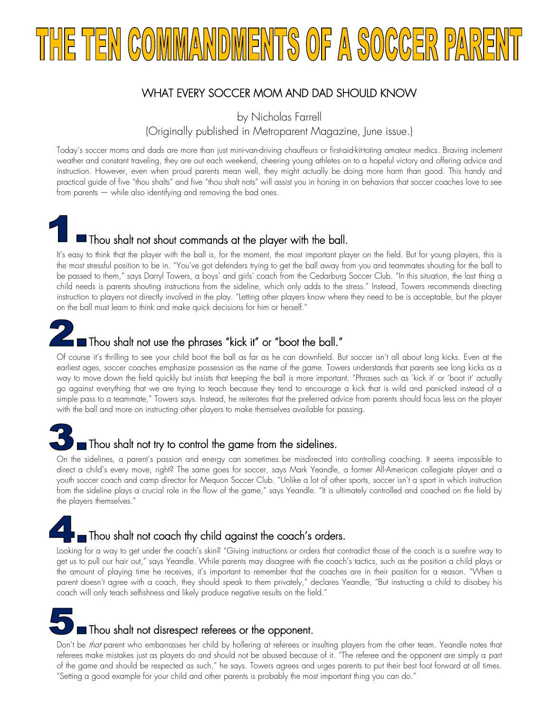# TEN COMMANDMENTS OF A SOCCER PA

#### WHAT EVERY SOCCER MOM AND DAD SHOULD KNOW

by Nicholas Farrell

(Originally published in Metroparent Magazine, June issue.)

Today's soccer moms and dads are more than just mini-van-driving chauffeurs or first-aid-kit-toting amateur medics. Braving inclement weather and constant traveling, they are out each weekend, cheering young athletes on to a hopeful victory and offering advice and instruction. However, even when proud parents mean well, they might actually be doing more harm than good. This handy and practical guide of five "thou shalts" and five "thou shalt nots" will assist you in honing in on behaviors that soccer coaches love to see from parents — while also identifying and removing the bad ones.

Thou shalt not shout commands at the player with the ball.

It's easy to think that the player with the ball is, for the moment, the most important player on the field. But for young players, this is the most stressful position to be in. "You've got defenders trying to get the ball away from you and teammates shouting for the ball to be passed to them," says Darryl Towers, a boys' and girls' coach from the Cedarburg Soccer Club. "In this situation, the last thing a child needs is parents shouting instructions from the sideline, which only adds to the stress." Instead, Towers recommends directing instruction to players not directly involved in the play. "Letting other players know where they need to be is acceptable, but the player on the ball must learn to think and make quick decisions for him or herself."



#### Thou shalt not use the phrases "kick it" or "boot the ball."

Of course it's thrilling to see your child boot the ball as far as he can downfield. But soccer isn't all about long kicks. Even at the earliest ages, soccer coaches emphasize possession as the name of the game. Towers understands that parents see long kicks as a way to move down the field quickly but insists that keeping the ball is more important. "Phrases such as 'kick it' or 'boot it' actually go against everything that we are trying to teach because they tend to encourage a kick that is wild and panicked instead of a simple pass to a teammate," Towers says. Instead, he reiterates that the preferred advice from parents should focus less on the player with the ball and more on instructing other players to make themselves available for passing.

## Thou shalt not try to control the game from the sidelines.

On the sidelines, a parent's passion and energy can sometimes be misdirected into controlling coaching. It seems impossible to direct a child's every move, right? The same goes for soccer, says Mark Yeandle, a former All-American collegiate player and a youth soccer coach and camp director for Mequon Soccer Club. "Unlike a lot of other sports, soccer isn't a sport in which instruction from the sideline plays a crucial role in the flow of the game," says Yeandle. "It is ultimately controlled and coached on the field by the players themselves."

## Thou shalt not coach thy child against the coach's orders.

Looking for a way to get under the coach's skin? "Giving instructions or orders that contradict those of the coach is a surefire way to get us to pull our hair out," says Yeandle. While parents may disagree with the coach's tactics, such as the position a child plays or the amount of playing time he receives, it's important to remember that the coaches are in their position for a reason. "When a parent doesn't agree with a coach, they should speak to them privately," declares Yeandle, "But instructing a child to disobey his coach will only teach selfishness and likely produce negative results on the field."

Thou shalt not disrespect referees or the opponent.

Don't be *that* parent who embarrasses her child by hollering at referees or insulting players from the other team. Yeandle notes that referees make mistakes just as players do and should not be abused because of it. "The referee and the opponent are simply a part of the game and should be respected as such," he says. Towers agrees and urges parents to put their best foot forward at all times. "Setting a good example for your child and other parents is probably the most important thing you can do."